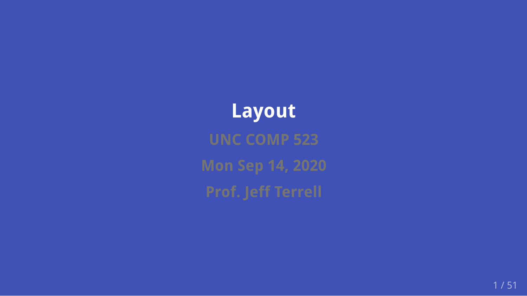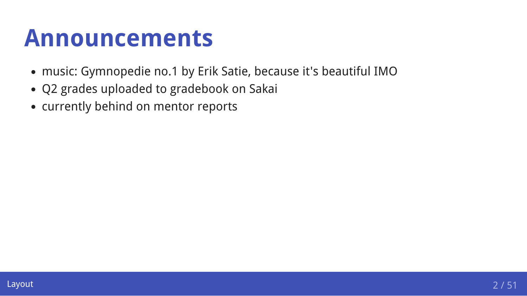### **Announcements**

- music: Gymnopedie no.1 by Erik Satie, because it's beautiful IMO
- Q2 grades uploaded to gradebook on Sakai
- currently behind on mentor reports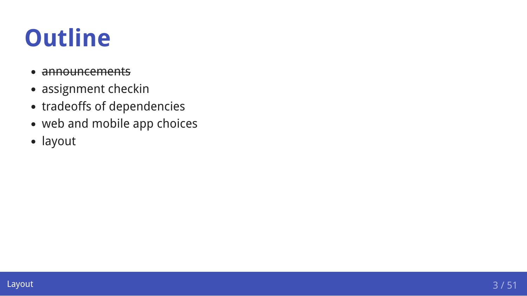### **Outline**

- announcements
- assignment checkin
- tradeoffs of dependencies
- web and mobile app choices
- layout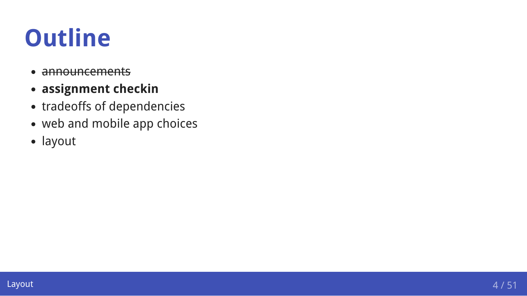### **Outline**

- announcements
- **assignment checkin**
- tradeoffs of dependencies
- web and mobile app choices
- layout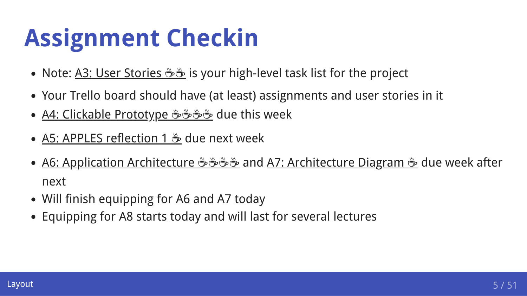### **Assignment Checkin**

- Note: <u>[A3: User Stories](https://comp523.cs.unc.edu/user-stories/) <del>Ö</del> we</u> is your high-level task list for the project
- Your Trello board should have (at least) assignments and user stories in it
- <u>[A4: Clickable Prototype](https://comp523.cs.unc.edu/clickable-prototype/) <del>ம</del>ீச் <del>மீ</del>ச் due this week</u>
- <u>[A5: APPLES reflection 1](https://comp523.cs.unc.edu/apples-reflection-1/)  $\frac{a}{2}$ </u> due next week
- [A6: Application Architecture](https://comp523.cs.unc.edu/application-architecture/) <del>மீமீமீ</del> and [A7: Architecture Diagram](https://comp523.cs.unc.edu/architecture-diagram/)  $\stackrel{..}{\bullet}$  due week after next
- Will finish equipping for A6 and A7 today
- Equipping for A8 starts today and will last for several lectures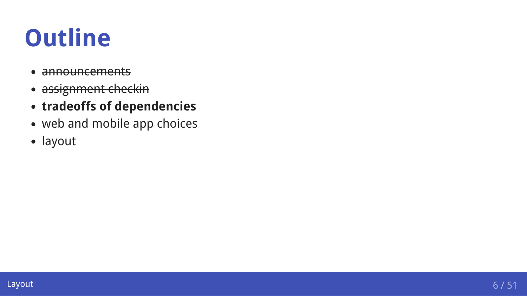### **Outline**

- announcements
- assignment checkin  $\blacksquare$
- **tradeoffs of dependencies**
- web and mobile app choices
- layout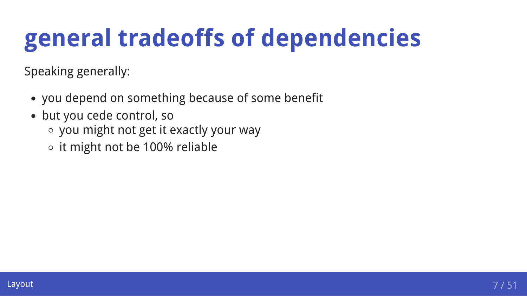### **general tradeoffs of dependencies**

Speaking generally:

- you depend on something because of some benefit
- but you cede control, so
	- you might not get it exactly your way
	- $\circ$  it might not be 100% reliable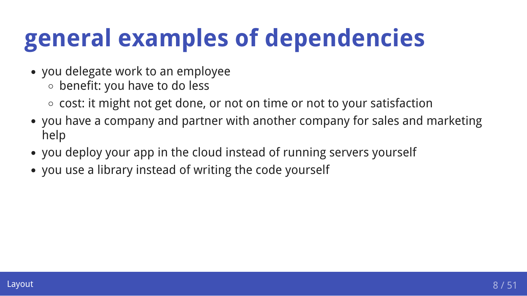### **general examples of dependencies**

- you delegate work to an employee
	- benefit: you have to do less
	- $\circ$  cost: it might not get done, or not on time or not to your satisfaction
- you have a company and partner with another company for sales and marketing help
- you deploy your app in the cloud instead of running servers yourself
- you use a library instead of writing the code yourself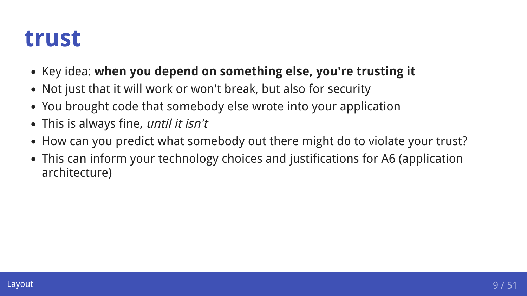### **trust**

- Key idea: when you depend on something else, you're trusting it
- Not just that it will work or won't break, but also for security
- You brought code that somebody else wrote into your application
- This is always fine, until it isn't
- How can you predict what somebody out there might do to violate your trust?
- This can inform your technology choices and justifications for A6 (application architecture)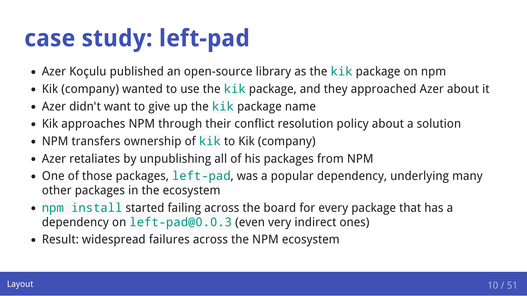### **case study: left-pad**

- Azer Koçulu published an open-source library as the kik package on npm
- Kik (company) wanted to use the kik package, and they approached Azer about it
- Azer didn't want to give up the  $kik$  package name
- Kik approaches NPM through their conflict resolution policy about a solution
- NPM transfers ownership of kik to Kik (company)
- Azer retaliates by unpublishing all of his packages from NPM
- One of those packages, left-pad, was a popular dependency, underlying many other packages in the ecosystem
- npm install started failing across the board for every package that has a dependency on left-pad@0.0.3 (even very indirect ones)
- Result: widespread failures across the NPM ecosystem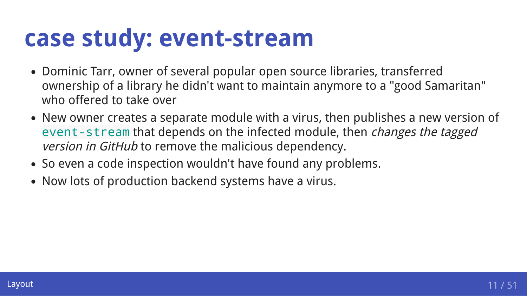### **case study: event-stream**

- Dominic Tarr, owner of several popular open source libraries, transferred ownership of a library he didn't want to maintain anymore to a "good Samaritan" who offered to take over
- New owner creates a separate module with a virus, then publishes a new version of event-stream that depends on the infected module, then *changes the tagged* version in GitHub to remove the malicious dependency.
- So even a code inspection wouldn't have found any problems.
- Now lots of production backend systems have a virus.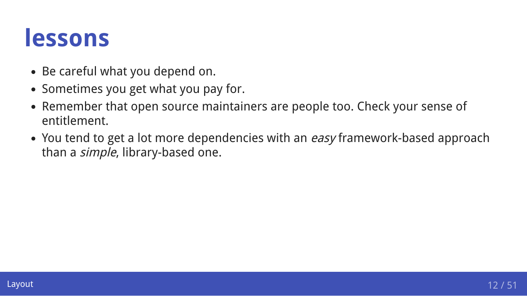### **lessons**

- Be careful what you depend on.
- Sometimes you get what you pay for.
- Remember that open source maintainers are people too. Check your sense of entitlement.
- You tend to get a lot more dependencies with an easy framework-based approach than a *simple*, library-based one.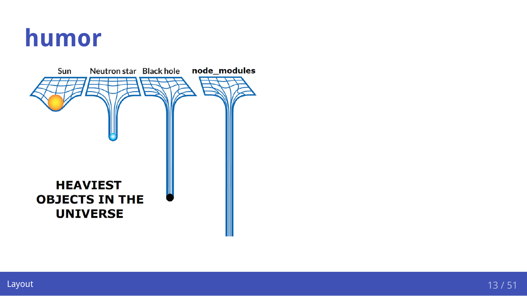### **humor**

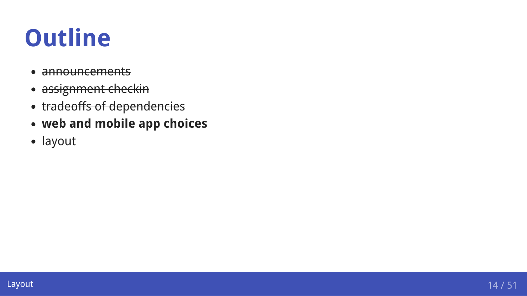### **Outline**

- announcements
- assignment checkin  $\blacksquare$
- tradeoffs of dependencies  $\bullet$
- **web and mobile app choices**
- layout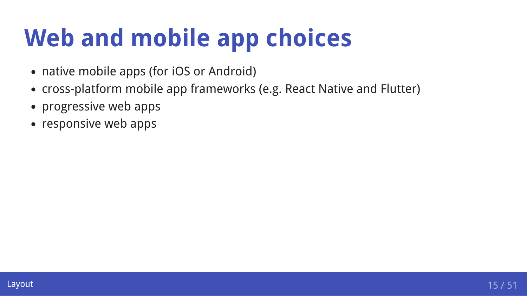### **Web and mobile app choices**

- native mobile apps (for iOS or Android)
- cross-platform mobile app frameworks (e.g. React Native and Flutter)
- progressive web apps
- responsive web apps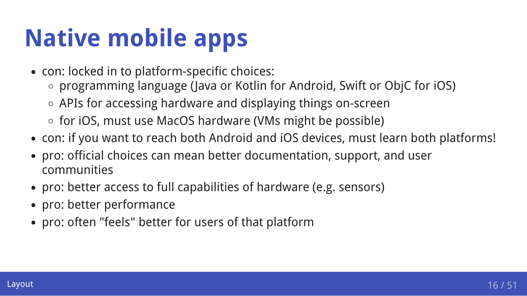# **Native mobile apps**

- con: locked in to platform-specific choices:
	- programming language (Java or Kotlin for Android, Swift or ObjC for iOS)
	- APIs for accessing hardware and displaying things on-screen
	- for iOS, must use MacOS hardware (VMs might be possible)
- con: if you want to reach both Android and iOS devices, must learn both platforms!
- pro: official choices can mean better documentation, support, and user communities
- pro: better access to full capabilities of hardware (e.g. sensors)
- pro: better performance
- pro: often "feels" better for users of that platform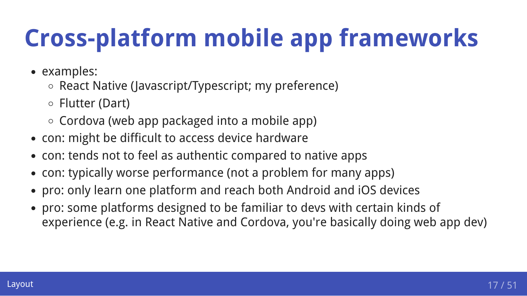# **Cross-platform mobile app frameworks**

- examples:
	- $\circ$  React Native (Javascript/Typescript; my preference)
	- Flutter (Dart)
	- $\circ$  Cordova (web app packaged into a mobile app)
- con: might be difficult to access device hardware
- con: tends not to feel as authentic compared to native apps
- con: typically worse performance (not a problem for many apps)
- pro: only learn one platform and reach both Android and iOS devices
- pro: some platforms designed to be familiar to devs with certain kinds of experience (e.g. in React Native and Cordova, you're basically doing web app dev)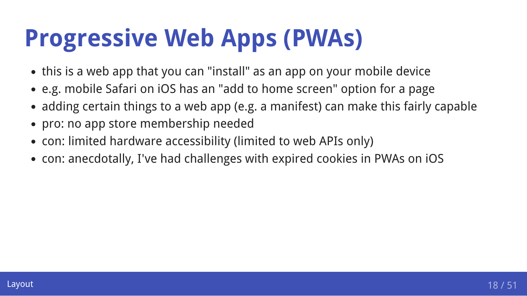### **Progressive Web Apps (PWAs)**

- this is a web app that you can "install" as an app on your mobile device
- e.g. mobile Safari on iOS has an "add to home screen" option for a page
- adding certain things to a web app (e.g. a manifest) can make this fairly capable
- pro: no app store membership needed
- con: limited hardware accessibility (limited to web APIs only)
- con: anecdotally, I've had challenges with expired cookies in PWAs on iOS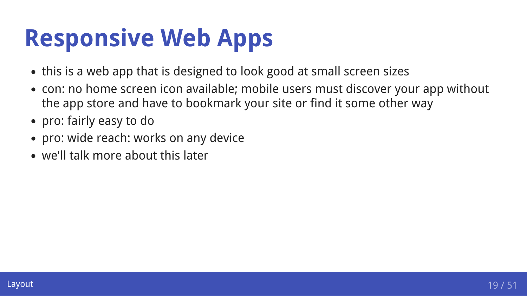### **Responsive Web Apps**

- this is a web app that is designed to look good at small screen sizes
- con: no home screen icon available; mobile users must discover your app without the app store and have to bookmark your site or find it some other way
- pro: fairly easy to do
- pro: wide reach: works on any device
- we'll talk more about this later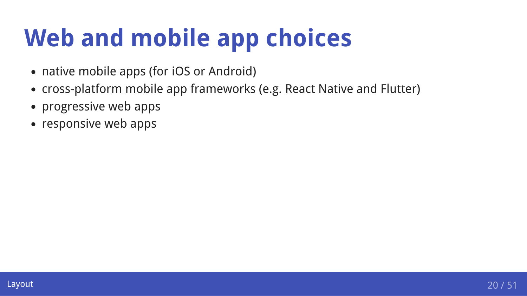### **Web and mobile app choices**

- native mobile apps (for iOS or Android)
- cross-platform mobile app frameworks (e.g. React Native and Flutter)
- progressive web apps
- responsive web apps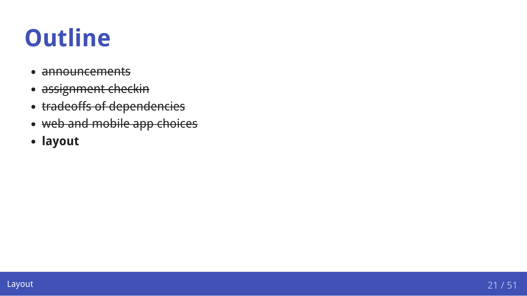### **Outline**

- announcements  $\bullet$
- assignment checkin  $\bullet$
- tradeoffs of dependencies  $\bullet$
- web and mobile app choices  $\bullet$
- **layout**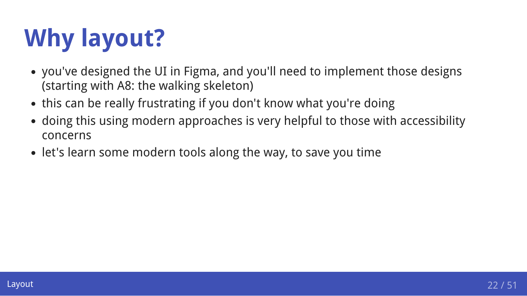# **Why layout?**

- you've designed the UI in Figma, and you'll need to implement those designs (starting with A8: the walking skeleton)
- this can be really frustrating if you don't know what you're doing
- doing this using modern approaches is very helpful to those with accessibility concerns
- let's learn some modern tools along the way, to save you time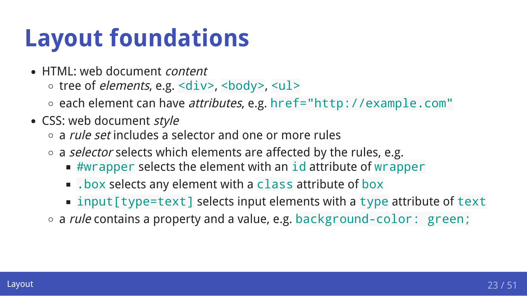### **Layout foundations**

- HTML: web document *content* 
	- $\circ$  tree of *elements*, e.g.  $\langle \text{div} \rangle$ ,  $\langle \text{body} \rangle$ ,  $\langle \text{ul} \rangle$
	- ∘ each element can have *attributes*, e.g. href="http://example.com"
- CSS: web document style
	- $\circ$  a *rule set* includes a selector and one or more rules
	- $\circ$  a selector selects which elements are affected by the rules, e.g.
		- $*$  #wrapper selects the element with an id attribute of wrapper
		- . box selects any element with a class attribute of box
		- input [type=text] selects input elements with a type attribute of text
	- o a *rule* contains a property and a value, e.g. background-color: green;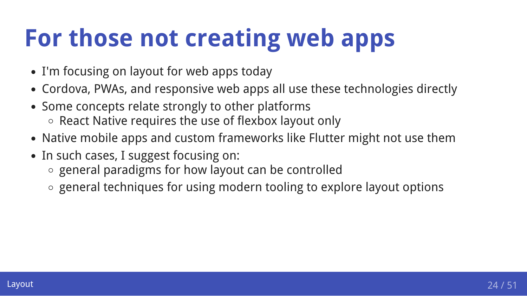### **For those not creating web apps**

- I'm focusing on layout for web apps today
- Cordova, PWAs, and responsive web apps all use these technologies directly
- Some concepts relate strongly to other platforms
	- o React Native requires the use of flexbox layout only
- Native mobile apps and custom frameworks like Flutter might not use them
- In such cases, I suggest focusing on:
	- $\circ$  general paradigms for how layout can be controlled
	- general techniques for using modern tooling to explore layout options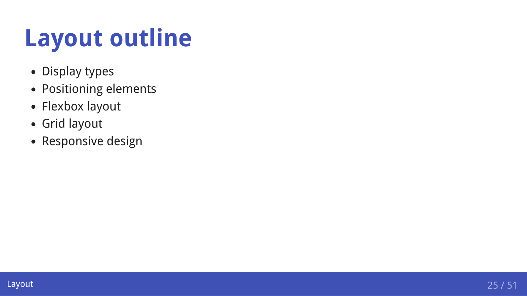### **Layout outline**

- Display types
- Positioning elements
- Flexbox layout
- Grid layout
- Responsive design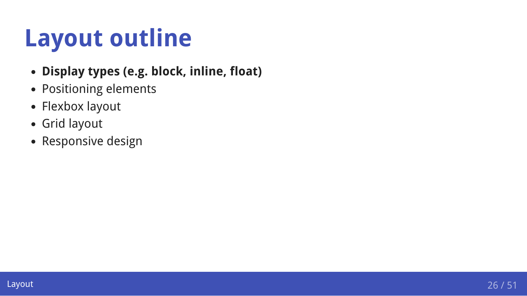### **Layout outline**

- **Display types (e.g. block, inline, float)**
- Positioning elements
- Flexbox layout
- Grid layout
- Responsive design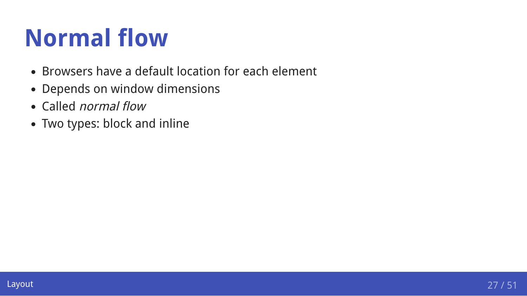### **Normal flow**

- Browsers have a default location for each element
- Depends on window dimensions
- Called *normal flow*
- Two types: block and inline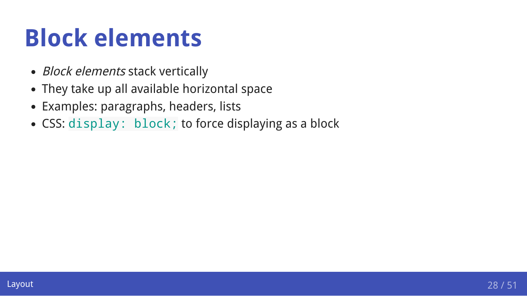### **Block elements**

- Block elements stack vertically
- They take up all available horizontal space
- Examples: paragraphs, headers, lists
- CSS: display: block; to force displaying as a block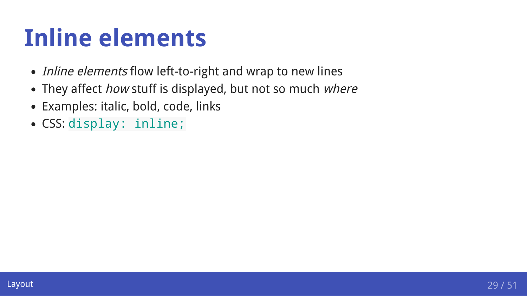### **Inline elements**

- *Inline elements* flow left-to-right and wrap to new lines
- They affect how stuff is displayed, but not so much where
- Examples: italic, bold, code, links
- CSS: display: inline;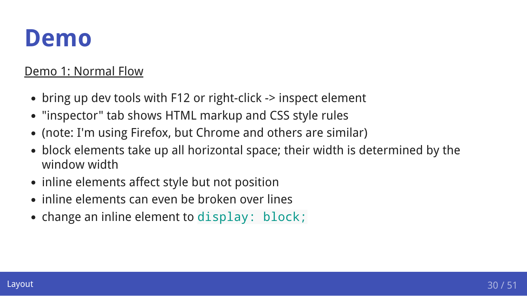### **Demo**

#### [Demo 1: Normal Flow](https://comp523.cs.unc.edu/demo.2019-09-11.1.normal-flow.html)

- bring up dev tools with F12 or right-click -> inspect element
- "inspector" tab shows HTML markup and CSS style rules
- (note: I'm using Firefox, but Chrome and others are similar)
- block elements take up all horizontal space; their width is determined by the window width
- inline elements affect style but not position
- inline elements can even be broken over lines
- change an inline element to display: block;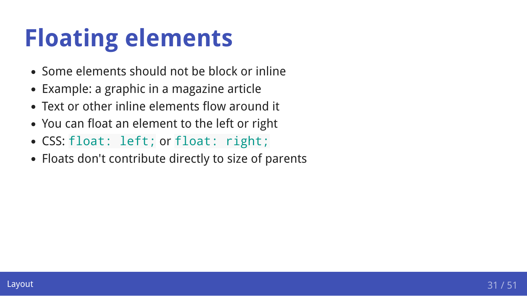### **Floating elements**

- Some elements should not be block or inline
- Example: a graphic in a magazine article
- Text or other inline elements flow around it
- You can float an element to the left or right
- CSS: float: left; or float: right;
- Floats don't contribute directly to size of parents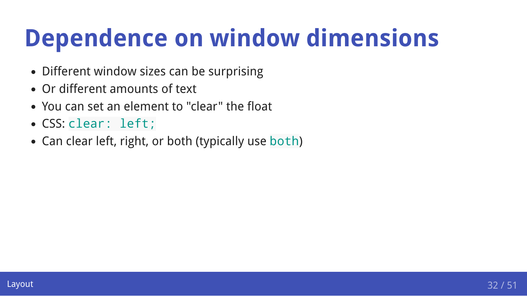### **Dependence on window dimensions**

- Different window sizes can be surprising
- Or different amounts of text
- You can set an element to "clear" the float
- CSS: clear: left;
- Can clear left, right, or both (typically use both)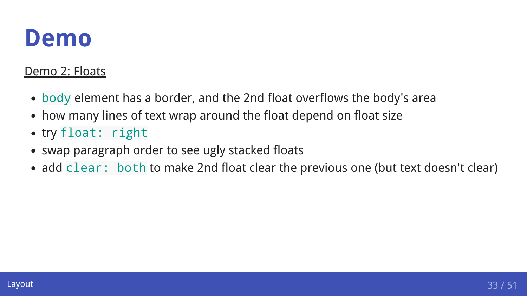### **Demo**

#### [Demo 2: Floats](https://comp523.cs.unc.edu/demo.2019-09-11.2.floats.html)

- body element has a border, and the 2nd float overflows the body's area
- how many lines of text wrap around the float depend on float size
- try float: right
- swap paragraph order to see ugly stacked floats
- add clear: both to make 2nd float clear the previous one (but text doesn't clear)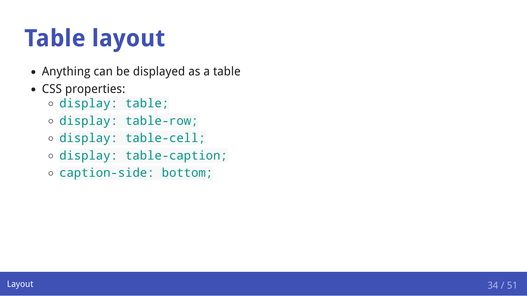# **Table layout**

- Anything can be displayed as a table
- CSS properties:
	- display: table;
	- display: table-row;
	- display: table-cell;
	- display: table-caption;
	- caption-side: bottom;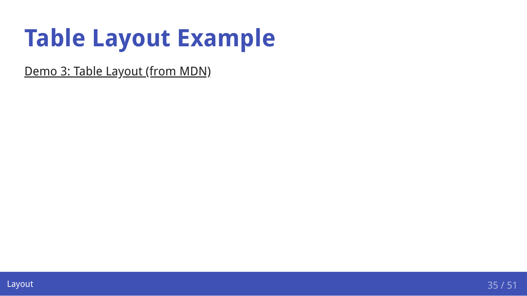### **Table Layout Example**

[Demo 3: Table Layout \(from MDN\)](https://developer.mozilla.org/en-US/docs/Learn/CSS/CSS_layout/Introduction#Table_layout)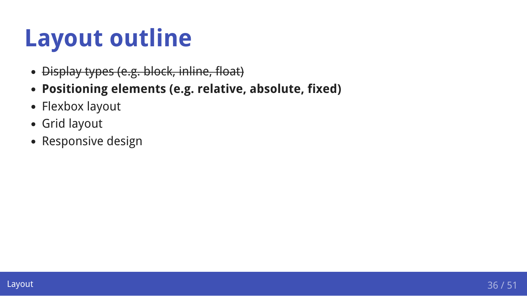### **Layout outline**

- Display types (e.g. block, inline, float)  $\bullet$
- **Positioning elements (e.g. relative, absolute, fixed)**
- Flexbox layout
- Grid layout
- Responsive design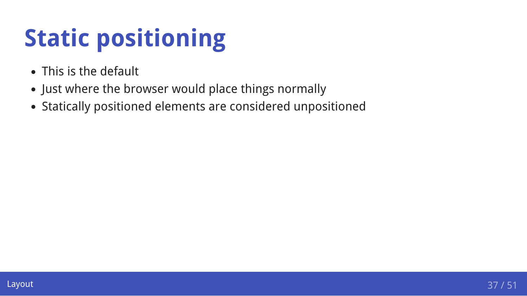# **Static positioning**

- This is the default
- Just where the browser would place things normally
- Statically positioned elements are considered unpositioned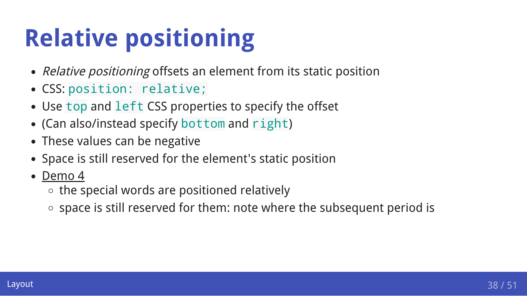# **Relative positioning**

- Relative positioning offsets an element from its static position
- CSS: position: relative;
- Use top and left CSS properties to specify the offset
- (Can also/instead specify bottom and right)
- These values can be negative
- Space is still reserved for the element's static position
- [Demo 4](https://comp523.cs.unc.edu/demo.2019-09-11.6.relative-positioning.html)  $\bullet$ 
	- $\circ$  the special words are positioned relatively
	- $\circ$  space is still reserved for them: note where the subsequent period is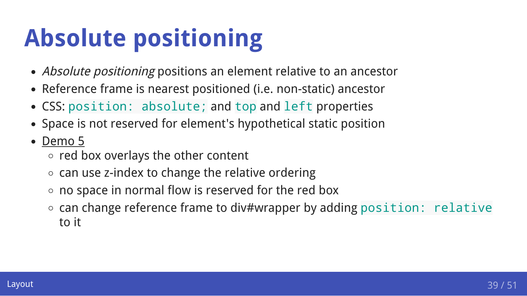# **Absolute positioning**

- Absolute positioning positions an element relative to an ancestor
- Reference frame is nearest positioned (i.e. non-static) ancestor
- CSS: position: absolute; and top and left properties
- Space is not reserved for element's hypothetical static position
- [Demo 5](https://comp523.cs.unc.edu/demo.2019-09-11.7.absolute-positioning.html)
	- $\circ$  red box overlays the other content
	- $\circ$  can use z-index to change the relative ordering
	- $\circ$  no space in normal flow is reserved for the red box
	- o can change reference frame to div#wrapper by adding position: relative to it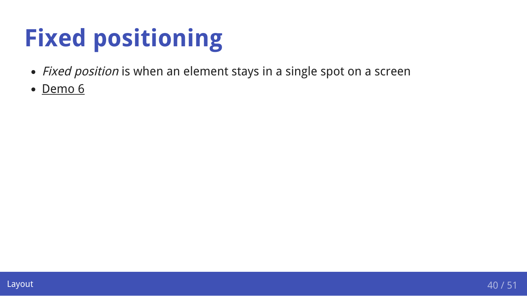# **Fixed positioning**

- Fixed position is when an element stays in a single spot on a screen
- [Demo 6](https://www.davidwalsh.name/demo/css-fixed-position.php)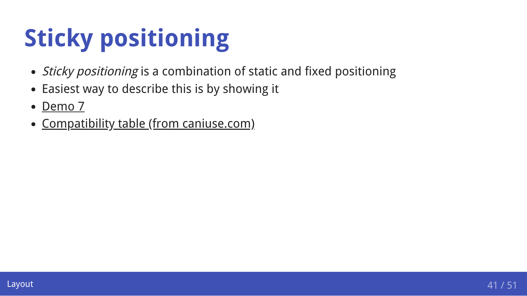# **Sticky positioning**

- Sticky positioning is a combination of static and fixed positioning
- Easiest way to describe this is by showing it
- [Demo 7](https://www.digitalocean.com/community/tutorials/css-position-sticky)  $\bullet$
- [Compatibility table \(from caniuse.com\)](https://caniuse.com/css-sticky)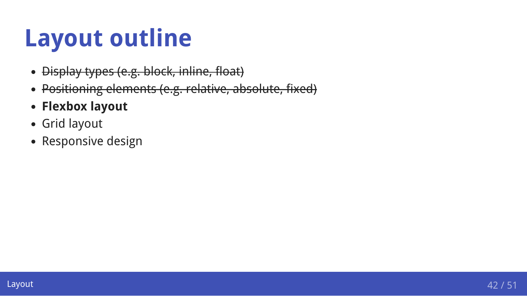### **Layout outline**

- Display types (e.g. block, inline, float)  $\bullet$
- Positioning elements (e.g. relative, absolute, fixed)  $\bullet$
- **Flexbox layout**
- Grid layout
- Responsive design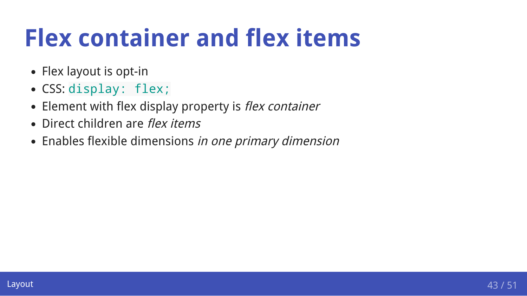### **Flex container and flex items**

- Flex layout is opt-in
- CSS: display: flex;
- Element with flex display property is flex container
- Direct children are flex items
- Enables flexible dimensions in one primary dimension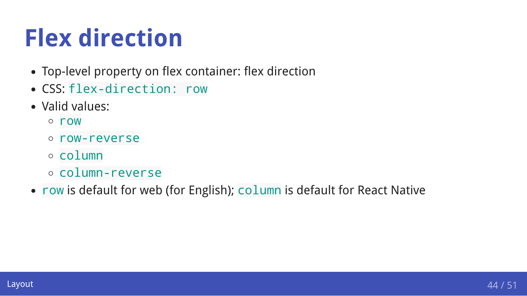### **Flex direction**

- Top-level property on flex container: flex direction
- CSS: flex-direction: row
- Valid values:
	- row
	- row-reverse
	- **column**
	- column-reverse
- row is default for web (for English); column is default for React Native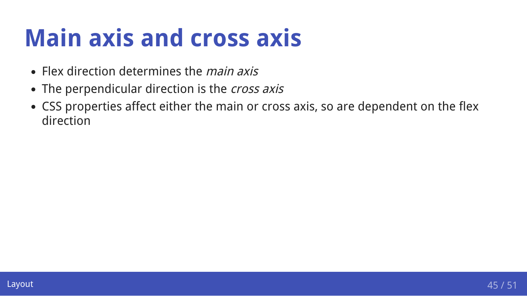### **Main axis and cross axis**

- Flex direction determines the *main axis*
- The perpendicular direction is the *cross axis*
- CSS properties affect either the main or cross axis, so are dependent on the flex direction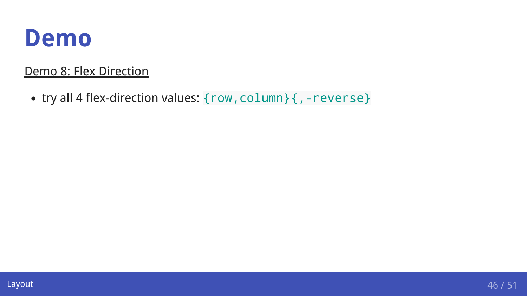### **Demo**

#### [Demo 8: Flex Direction](https://comp523.cs.unc.edu/demo.2019-09-11.3.flex-direction.html)

• try all 4 flex-direction values: {row, column} {, -reverse}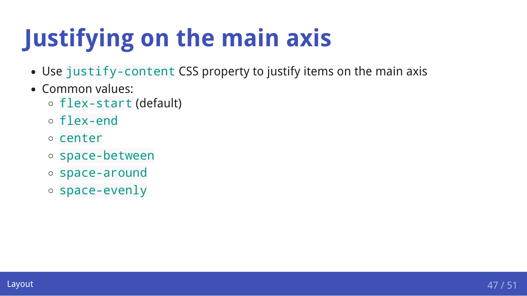# **Justifying on the main axis**

- Use justify-content CSS property to justify items on the main axis
- Common values:
	- flex-start (default)
	- flex-end
	- o center
	- space-between
	- space-around
	- space-evenly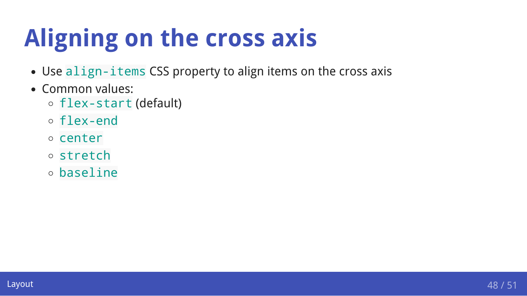# **Aligning on the cross axis**

- Use align-items CSS property to align items on the cross axis
- Common values:
	- flex-start (default)
	- flex-end
	- o center
	- stretch
	- baseline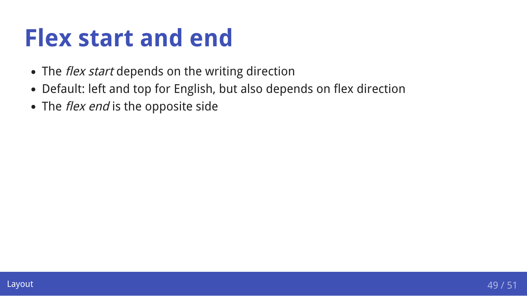### **Flex start and end**

- The *flex start* depends on the writing direction
- Default: left and top for English, but also depends on flex direction
- The *flex end* is the opposite side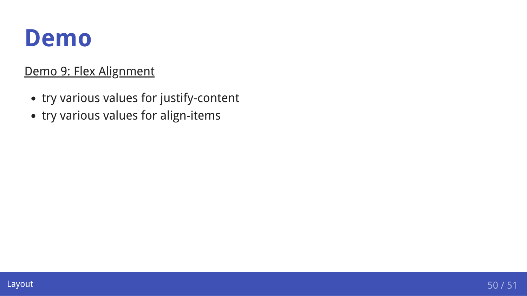### **Demo**

#### [Demo 9: Flex Alignment](https://comp523.cs.unc.edu/demo.2019-09-11.4.flex-alignment.html)

- try various values for justify-content
- try various values for align-items